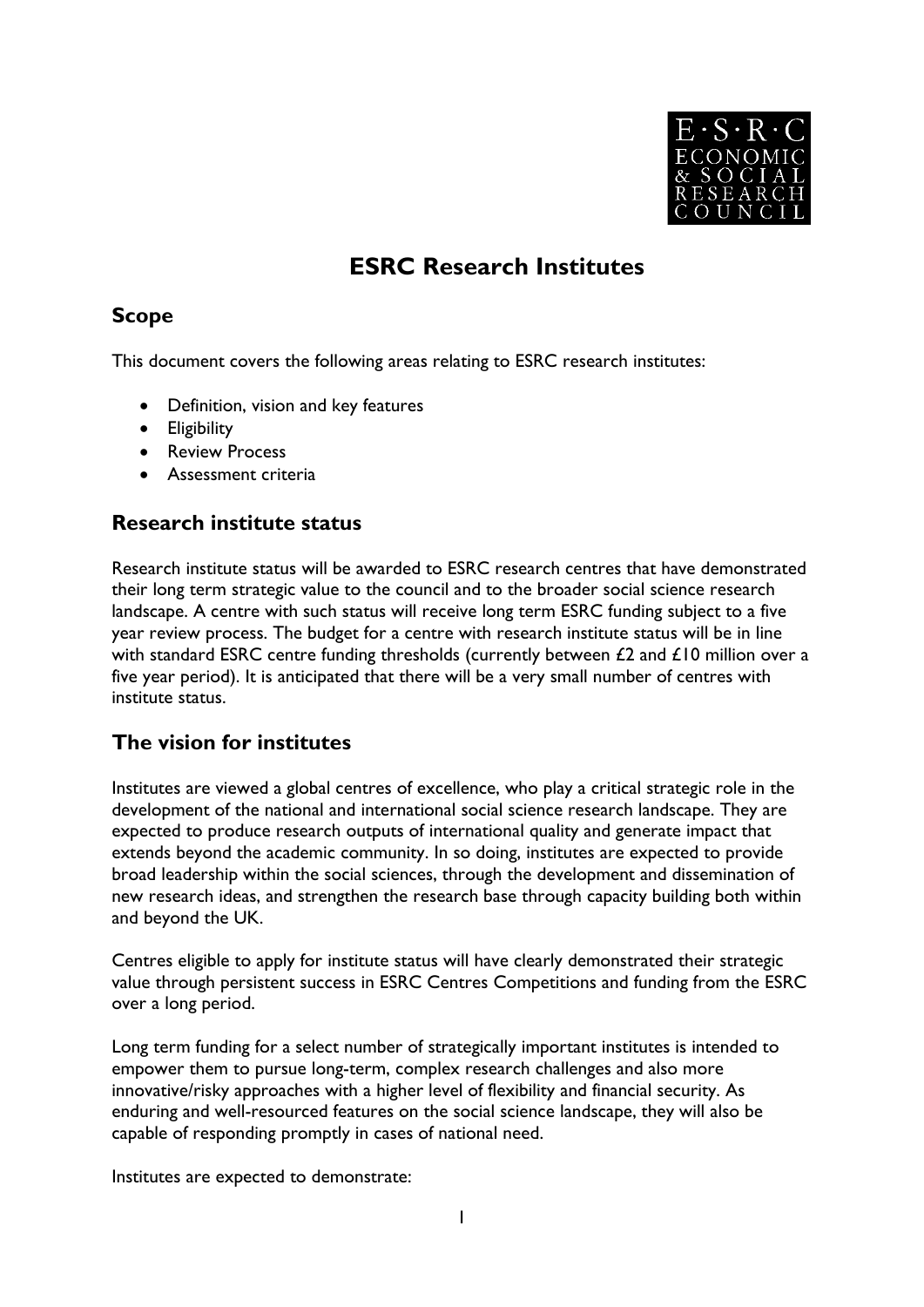

# **ESRC Research Institutes**

# **Scope**

This document covers the following areas relating to ESRC research institutes:

- Definition, vision and key features
- Eligibility
- Review Process
- Assessment criteria

### **Research institute status**

Research institute status will be awarded to ESRC research centres that have demonstrated their long term strategic value to the council and to the broader social science research landscape. A centre with such status will receive long term ESRC funding subject to a five year review process. The budget for a centre with research institute status will be in line with standard ESRC centre funding thresholds (currently between  $£2$  and  $£10$  million over a five year period). It is anticipated that there will be a very small number of centres with institute status.

# **The vision for institutes**

Institutes are viewed a global centres of excellence, who play a critical strategic role in the development of the national and international social science research landscape. They are expected to produce research outputs of international quality and generate impact that extends beyond the academic community. In so doing, institutes are expected to provide broad leadership within the social sciences, through the development and dissemination of new research ideas, and strengthen the research base through capacity building both within and beyond the UK.

Centres eligible to apply for institute status will have clearly demonstrated their strategic value through persistent success in ESRC Centres Competitions and funding from the ESRC over a long period.

Long term funding for a select number of strategically important institutes is intended to empower them to pursue long-term, complex research challenges and also more innovative/risky approaches with a higher level of flexibility and financial security. As enduring and well-resourced features on the social science landscape, they will also be capable of responding promptly in cases of national need.

Institutes are expected to demonstrate: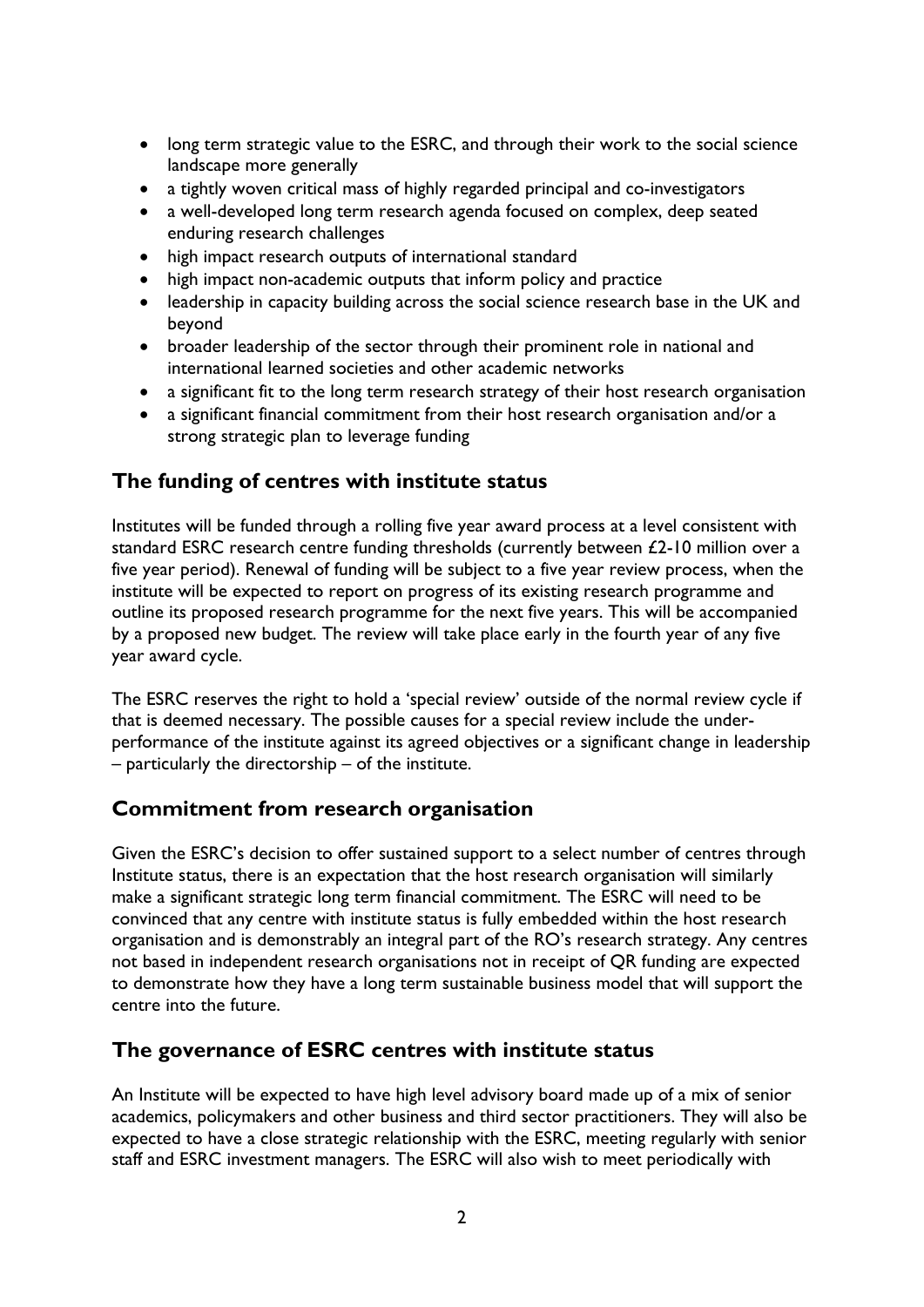- long term strategic value to the ESRC, and through their work to the social science landscape more generally
- a tightly woven critical mass of highly regarded principal and co-investigators
- a well-developed long term research agenda focused on complex, deep seated enduring research challenges
- high impact research outputs of international standard
- high impact non-academic outputs that inform policy and practice
- leadership in capacity building across the social science research base in the UK and beyond
- broader leadership of the sector through their prominent role in national and international learned societies and other academic networks
- a significant fit to the long term research strategy of their host research organisation
- a significant financial commitment from their host research organisation and/or a strong strategic plan to leverage funding

### **The funding of centres with institute status**

Institutes will be funded through a rolling five year award process at a level consistent with standard ESRC research centre funding thresholds (currently between £2-10 million over a five year period). Renewal of funding will be subject to a five year review process, when the institute will be expected to report on progress of its existing research programme and outline its proposed research programme for the next five years. This will be accompanied by a proposed new budget. The review will take place early in the fourth year of any five year award cycle.

The ESRC reserves the right to hold a 'special review' outside of the normal review cycle if that is deemed necessary. The possible causes for a special review include the underperformance of the institute against its agreed objectives or a significant change in leadership – particularly the directorship – of the institute.

# **Commitment from research organisation**

Given the ESRC's decision to offer sustained support to a select number of centres through Institute status, there is an expectation that the host research organisation will similarly make a significant strategic long term financial commitment. The ESRC will need to be convinced that any centre with institute status is fully embedded within the host research organisation and is demonstrably an integral part of the RO's research strategy. Any centres not based in independent research organisations not in receipt of QR funding are expected to demonstrate how they have a long term sustainable business model that will support the centre into the future.

### **The governance of ESRC centres with institute status**

An Institute will be expected to have high level advisory board made up of a mix of senior academics, policymakers and other business and third sector practitioners. They will also be expected to have a close strategic relationship with the ESRC, meeting regularly with senior staff and ESRC investment managers. The ESRC will also wish to meet periodically with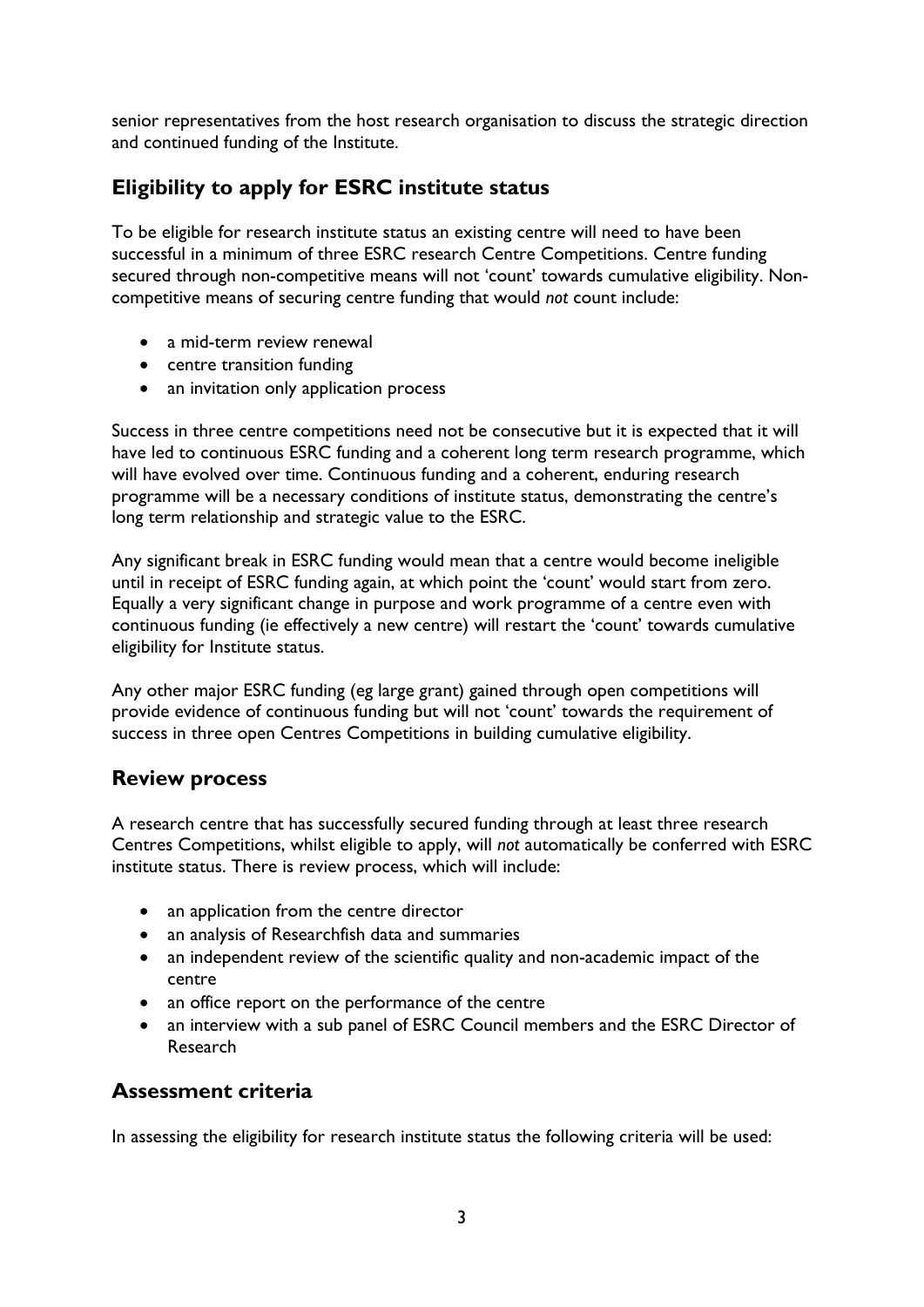senior representatives from the host research organisation to discuss the strategic direction and continued funding of the Institute.

# **Eligibility to apply for ESRC institute status**

To be eligible for research institute status an existing centre will need to have been successful in a minimum of three ESRC research Centre Competitions. Centre funding secured through non-competitive means will not 'count' towards cumulative eligibility. Noncompetitive means of securing centre funding that would *not* count include:

- a mid-term review renewal
- centre transition funding
- an invitation only application process

Success in three centre competitions need not be consecutive but it is expected that it will have led to continuous ESRC funding and a coherent long term research programme, which will have evolved over time. Continuous funding and a coherent, enduring research programme will be a necessary conditions of institute status, demonstrating the centre's long term relationship and strategic value to the ESRC.

Any significant break in ESRC funding would mean that a centre would become ineligible until in receipt of ESRC funding again, at which point the 'count' would start from zero. Equally a very significant change in purpose and work programme of a centre even with continuous funding (ie effectively a new centre) will restart the 'count' towards cumulative eligibility for Institute status.

Any other major ESRC funding (eg large grant) gained through open competitions will provide evidence of continuous funding but will not 'count' towards the requirement of success in three open Centres Competitions in building cumulative eligibility.

### **Review process**

A research centre that has successfully secured funding through at least three research Centres Competitions, whilst eligible to apply, will *not* automatically be conferred with ESRC institute status. There is review process, which will include:

- an application from the centre director
- an analysis of Researchfish data and summaries
- an independent review of the scientific quality and non-academic impact of the centre
- an office report on the performance of the centre
- an interview with a sub panel of ESRC Council members and the ESRC Director of Research

### **Assessment criteria**

In assessing the eligibility for research institute status the following criteria will be used: